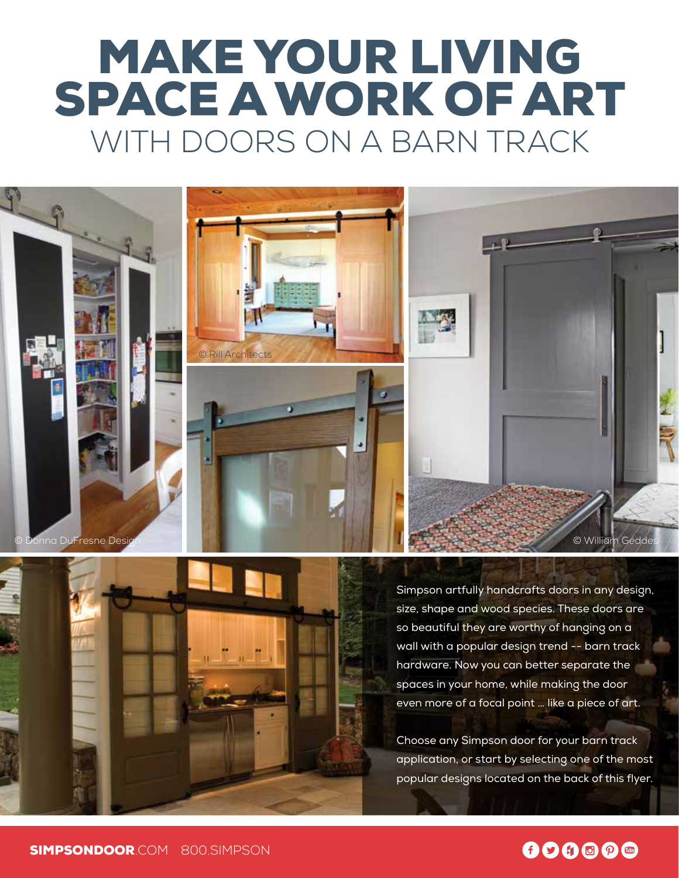# MAKE YOUR LIVING SPACE A WORK OF ART WITH DOORS ON A BARN TRACK

© Donna DuFresne Design © William Geddes



© Rill Architects

Simpson artfully handcrafts doors in any design, size, shape and wood species. These doors are so beautiful they are worthy of hanging on a wall with a popular design trend -- barn track hardware. Now you can better separate the spaces in your home, while making the door even more of a focal point … like a piece of art.

Choose any Simpson door for your barn track application, or start by selecting one of the most popular designs located on the back of this flyer.

### $00000$

SIMPSONDOOR.COM 800.SIMPSON